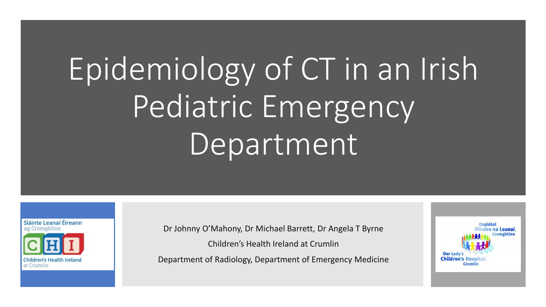# Epidemiology of CT in an Irish Pediatric Emergency Department



Dr Johnny O'Mahony, Dr Michael Barrett, Dr Angela T Byrne

Children's Health Ireland at Crumlin

Department of Radiology, Department of Emergency Medicine

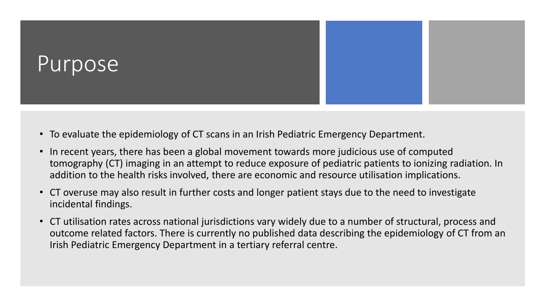

- To evaluate the epidemiology of CT scans in an Irish Pediatric Emergency Department.
- In recent years, there has been a global movement towards more judicious use of computed tomography (CT) imaging in an attempt to reduce exposure of pediatric patients to ionizing radiation. In addition to the health risks involved, there are economic and resource utilisation implications.
- CT overuse may also result in further costs and longer patient stays due to the need to investigate incidental findings.
- CT utilisation rates across national jurisdictions vary widely due to a number of structural, process and outcome related factors. There is currently no published data describing the epidemiology of CT from an Irish Pediatric Emergency Department in a tertiary referral centre.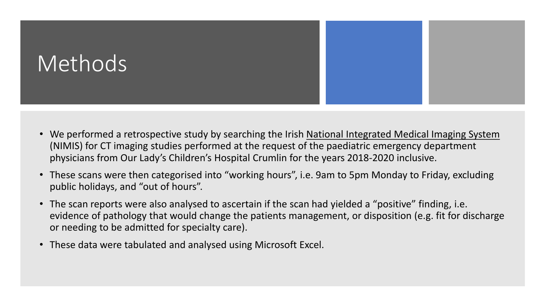

- We performed a retrospective study by searching the Irish National Integrated Medical Imaging System (NIMIS) for CT imaging studies performed at the request of the paediatric emergency department physicians from Our Lady's Children's Hospital Crumlin for the years 2018-2020 inclusive.
- These scans were then categorised into "working hours", i.e. 9am to 5pm Monday to Friday, excluding public holidays, and "out of hours".
- The scan reports were also analysed to ascertain if the scan had yielded a "positive" finding, i.e. evidence of pathology that would change the patients management, or disposition (e.g. fit for discharge or needing to be admitted for specialty care).
- These data were tabulated and analysed using Microsoft Excel.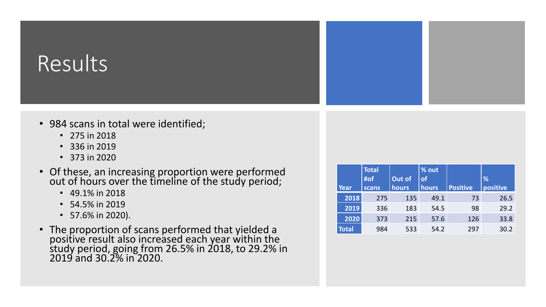## Results

- 984 scans in total were identified;
	- 275 in 2018
	- 336 in 2019
	- 373 in 2020
- Of these, an increasing proportion were performed out of hours over the timeline of the study period;
	- 49.1% in 2018
	- 54.5% in 2019
	- 57.6% in 2020).
- The proportion of scans performed that yielded a positive result also increased each year within the study period, going from 26.5% in 2018, to 29.2% in 2019 and 30.2% in 2020.

| Year  | <b>Total</b><br>#of<br>scans | Out of<br>hours | % out<br>of<br><b>hours</b> | <b>Positive</b> | %<br>positive |
|-------|------------------------------|-----------------|-----------------------------|-----------------|---------------|
| 2018  | 275                          | 135             | 49.1                        | 73              | 26.5          |
| 2019  | 336                          | 183             | 54.5                        | 98              | 29.2          |
| 2020  | 373                          | 215             | 57.6                        | 126             | 33.8          |
| Total | 984                          | 533             | 54.2                        | 297             | 30.2          |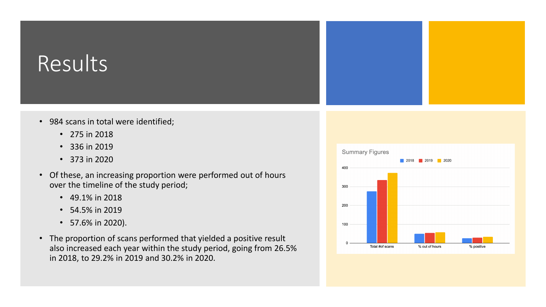### Results

- 984 scans in total were identified;
	- 275 in 2018
	- 336 in 2019
	- 373 in 2020
- Of these, an increasing proportion were performed out of hours over the timeline of the study period;
	- 49.1% in 2018
	- 54.5% in 2019
	- 57.6% in 2020).
- The proportion of scans performed that yielded a positive result also increased each year within the study period, going from 26.5% in 2018, to 29.2% in 2019 and 30.2% in 2020.

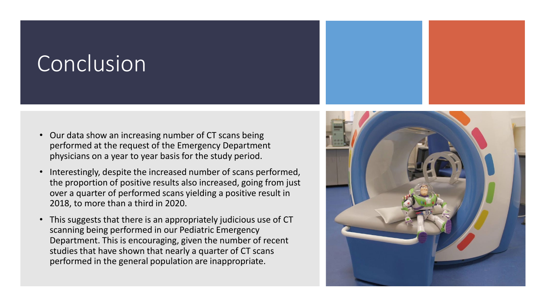### Conclusion

- Our data show an increasing number of CT scans being performed at the request of the Emergency Department physicians on a year to year basis for the study period.
- Interestingly, despite the increased number of scans performed, the proportion of positive results also increased, going from just over a quarter of performed scans yielding a positive result in 2018, to more than a third in 2020.
- This suggests that there is an appropriately judicious use of CT scanning being performed in our Pediatric Emergency Department. This is encouraging, given the number of recent studies that have shown that nearly a quarter of CT scans performed in the general population are inappropriate.

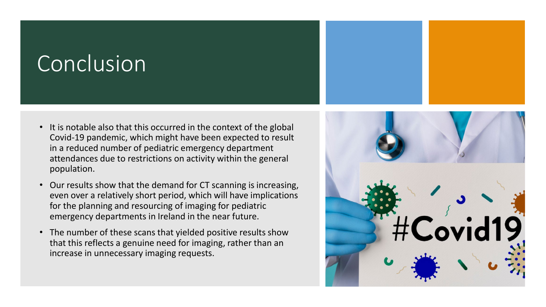### Conclusion

- It is notable also that this occurred in the context of the global Covid-19 pandemic, which might have been expected to result in a reduced number of pediatric emergency department attendances due to restrictions on activity within the general population.
- Our results show that the demand for CT scanning is increasing, even over a relatively short period, which will have implications for the planning and resourcing of imaging for pediatric emergency departments in Ireland in the near future.
- The number of these scans that yielded positive results show that this reflects a genuine need for imaging, rather than an increase in unnecessary imaging requests.